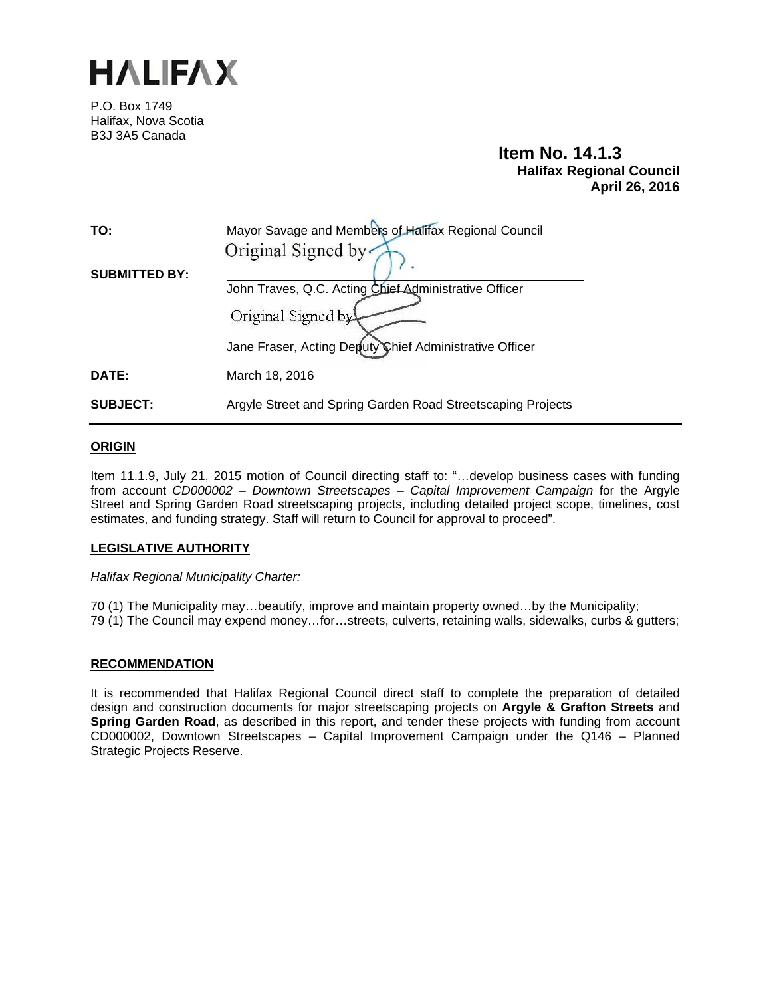

P.O. Box 1749 Halifax, Nova Scotia B3J 3A5 Canada

# **Item No. 14.1.3 Halifax Regional Council April 26, 2016**

| TO:                  | Mayor Savage and Members of Halifax Regional Council        |
|----------------------|-------------------------------------------------------------|
| <b>SUBMITTED BY:</b> | Original Signed by                                          |
|                      | John Traves, Q.C. Acting Chief Administrative Officer       |
|                      | Original Signed by                                          |
|                      | Jane Fraser, Acting Deputy Chief Administrative Officer     |
| DATE:                | March 18, 2016                                              |
| <b>SUBJECT:</b>      | Argyle Street and Spring Garden Road Streetscaping Projects |

# **ORIGIN**

Item 11.1.9, July 21, 2015 motion of Council directing staff to: "…develop business cases with funding from account *CD000002 – Downtown Streetscapes – Capital Improvement Campaign* for the Argyle Street and Spring Garden Road streetscaping projects, including detailed project scope, timelines, cost estimates, and funding strategy. Staff will return to Council for approval to proceed".

#### **LEGISLATIVE AUTHORITY**

*Halifax Regional Municipality Charter:* 

70 (1) The Municipality may…beautify, improve and maintain property owned…by the Municipality; 79 (1) The Council may expend money…for…streets, culverts, retaining walls, sidewalks, curbs & gutters;

#### **RECOMMENDATION**

It is recommended that Halifax Regional Council direct staff to complete the preparation of detailed design and construction documents for major streetscaping projects on **Argyle & Grafton Streets** and **Spring Garden Road**, as described in this report, and tender these projects with funding from account CD000002, Downtown Streetscapes – Capital Improvement Campaign under the Q146 – Planned Strategic Projects Reserve.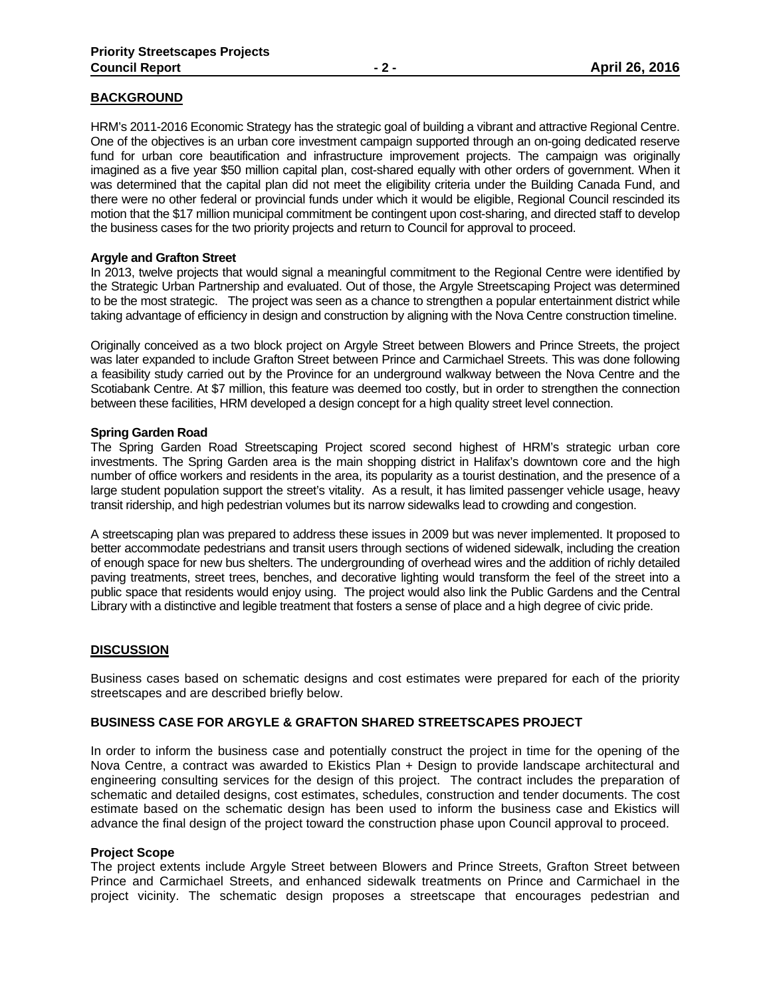# **BACKGROUND**

HRM's 2011-2016 Economic Strategy has the strategic goal of building a vibrant and attractive Regional Centre. One of the objectives is an urban core investment campaign supported through an on-going dedicated reserve fund for urban core beautification and infrastructure improvement projects. The campaign was originally imagined as a five year \$50 million capital plan, cost-shared equally with other orders of government. When it was determined that the capital plan did not meet the eligibility criteria under the Building Canada Fund, and there were no other federal or provincial funds under which it would be eligible, Regional Council rescinded its motion that the \$17 million municipal commitment be contingent upon cost-sharing, and directed staff to develop the business cases for the two priority projects and return to Council for approval to proceed.

# **Argyle and Grafton Street**

In 2013, twelve projects that would signal a meaningful commitment to the Regional Centre were identified by the Strategic Urban Partnership and evaluated. Out of those, the Argyle Streetscaping Project was determined to be the most strategic. The project was seen as a chance to strengthen a popular entertainment district while taking advantage of efficiency in design and construction by aligning with the Nova Centre construction timeline.

Originally conceived as a two block project on Argyle Street between Blowers and Prince Streets, the project was later expanded to include Grafton Street between Prince and Carmichael Streets. This was done following a feasibility study carried out by the Province for an underground walkway between the Nova Centre and the Scotiabank Centre. At \$7 million, this feature was deemed too costly, but in order to strengthen the connection between these facilities, HRM developed a design concept for a high quality street level connection.

# **Spring Garden Road**

The Spring Garden Road Streetscaping Project scored second highest of HRM's strategic urban core investments. The Spring Garden area is the main shopping district in Halifax's downtown core and the high number of office workers and residents in the area, its popularity as a tourist destination, and the presence of a large student population support the street's vitality. As a result, it has limited passenger vehicle usage, heavy transit ridership, and high pedestrian volumes but its narrow sidewalks lead to crowding and congestion.

A streetscaping plan was prepared to address these issues in 2009 but was never implemented. It proposed to better accommodate pedestrians and transit users through sections of widened sidewalk, including the creation of enough space for new bus shelters. The undergrounding of overhead wires and the addition of richly detailed paving treatments, street trees, benches, and decorative lighting would transform the feel of the street into a public space that residents would enjoy using. The project would also link the Public Gardens and the Central Library with a distinctive and legible treatment that fosters a sense of place and a high degree of civic pride.

# **DISCUSSION**

Business cases based on schematic designs and cost estimates were prepared for each of the priority streetscapes and are described briefly below.

# **BUSINESS CASE FOR ARGYLE & GRAFTON SHARED STREETSCAPES PROJECT**

In order to inform the business case and potentially construct the project in time for the opening of the Nova Centre, a contract was awarded to Ekistics Plan + Design to provide landscape architectural and engineering consulting services for the design of this project. The contract includes the preparation of schematic and detailed designs, cost estimates, schedules, construction and tender documents. The cost estimate based on the schematic design has been used to inform the business case and Ekistics will advance the final design of the project toward the construction phase upon Council approval to proceed.

#### **Project Scope**

The project extents include Argyle Street between Blowers and Prince Streets, Grafton Street between Prince and Carmichael Streets, and enhanced sidewalk treatments on Prince and Carmichael in the project vicinity. The schematic design proposes a streetscape that encourages pedestrian and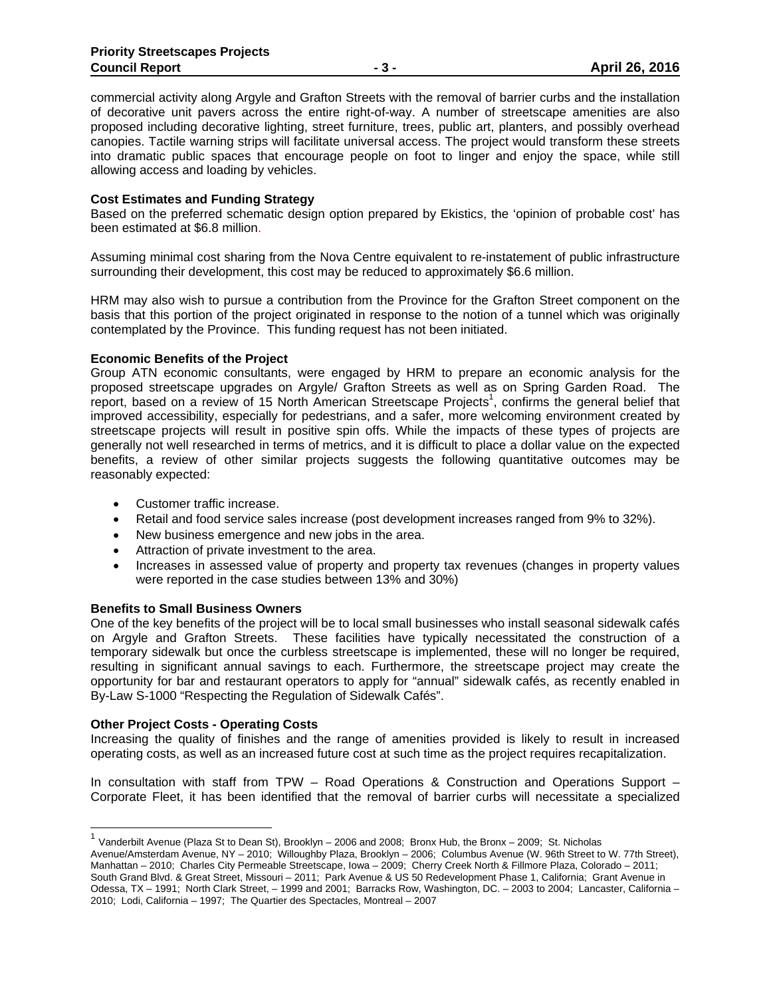commercial activity along Argyle and Grafton Streets with the removal of barrier curbs and the installation of decorative unit pavers across the entire right-of-way. A number of streetscape amenities are also proposed including decorative lighting, street furniture, trees, public art, planters, and possibly overhead canopies. Tactile warning strips will facilitate universal access. The project would transform these streets into dramatic public spaces that encourage people on foot to linger and enjoy the space, while still allowing access and loading by vehicles.

## **Cost Estimates and Funding Strategy**

Based on the preferred schematic design option prepared by Ekistics, the 'opinion of probable cost' has been estimated at \$6.8 million.

Assuming minimal cost sharing from the Nova Centre equivalent to re-instatement of public infrastructure surrounding their development, this cost may be reduced to approximately \$6.6 million.

HRM may also wish to pursue a contribution from the Province for the Grafton Street component on the basis that this portion of the project originated in response to the notion of a tunnel which was originally contemplated by the Province. This funding request has not been initiated.

#### **Economic Benefits of the Project**

Group ATN economic consultants, were engaged by HRM to prepare an economic analysis for the proposed streetscape upgrades on Argyle/ Grafton Streets as well as on Spring Garden Road. The report, based on a review of 15 North American Streetscape Projects<sup>1</sup>, confirms the general belief that improved accessibility, especially for pedestrians, and a safer, more welcoming environment created by streetscape projects will result in positive spin offs. While the impacts of these types of projects are generally not well researched in terms of metrics, and it is difficult to place a dollar value on the expected benefits, a review of other similar projects suggests the following quantitative outcomes may be reasonably expected:

- Customer traffic increase.
- Retail and food service sales increase (post development increases ranged from 9% to 32%).
- New business emergence and new jobs in the area.
- Attraction of private investment to the area.
- Increases in assessed value of property and property tax revenues (changes in property values were reported in the case studies between 13% and 30%)

#### **Benefits to Small Business Owners**

One of the key benefits of the project will be to local small businesses who install seasonal sidewalk cafés on Argyle and Grafton Streets. These facilities have typically necessitated the construction of a temporary sidewalk but once the curbless streetscape is implemented, these will no longer be required, resulting in significant annual savings to each. Furthermore, the streetscape project may create the opportunity for bar and restaurant operators to apply for "annual" sidewalk cafés, as recently enabled in By-Law S-1000 "Respecting the Regulation of Sidewalk Cafés".

#### **Other Project Costs - Operating Costs**

Increasing the quality of finishes and the range of amenities provided is likely to result in increased operating costs, as well as an increased future cost at such time as the project requires recapitalization.

In consultation with staff from TPW – Road Operations & Construction and Operations Support – Corporate Fleet, it has been identified that the removal of barrier curbs will necessitate a specialized

 $1$  Vanderbilt Avenue (Plaza St to Dean St), Brooklyn – 2006 and 2008; Bronx Hub, the Bronx – 2009; St. Nicholas Avenue/Amsterdam Avenue, NY – 2010; Willoughby Plaza, Brooklyn – 2006; Columbus Avenue (W. 96th Street to W. 77th Street), Manhattan – 2010; Charles City Permeable Streetscape, Iowa – 2009; Cherry Creek North & Fillmore Plaza, Colorado – 2011; South Grand Blvd. & Great Street, Missouri – 2011; Park Avenue & US 50 Redevelopment Phase 1, California; Grant Avenue in Odessa, TX – 1991; North Clark Street, – 1999 and 2001; Barracks Row, Washington, DC. – 2003 to 2004; Lancaster, California – 2010; Lodi, California – 1997; The Quartier des Spectacles, Montreal – 2007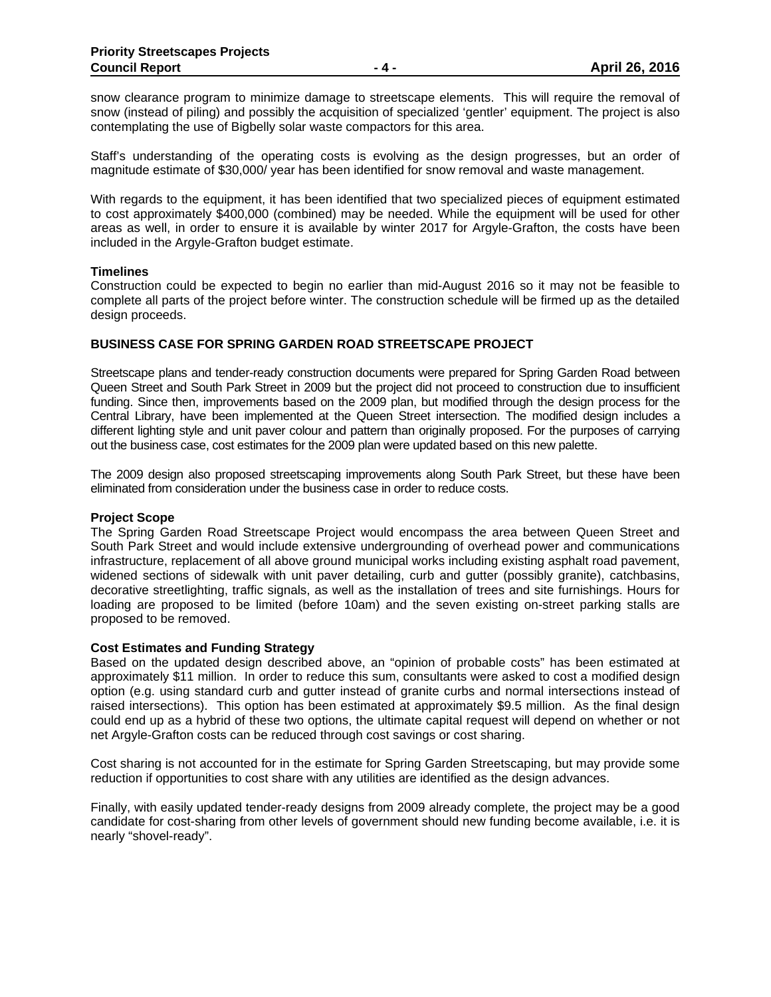snow clearance program to minimize damage to streetscape elements. This will require the removal of snow (instead of piling) and possibly the acquisition of specialized 'gentler' equipment. The project is also contemplating the use of Bigbelly solar waste compactors for this area.

Staff's understanding of the operating costs is evolving as the design progresses, but an order of magnitude estimate of \$30,000/ year has been identified for snow removal and waste management.

With regards to the equipment, it has been identified that two specialized pieces of equipment estimated to cost approximately \$400,000 (combined) may be needed. While the equipment will be used for other areas as well, in order to ensure it is available by winter 2017 for Argyle-Grafton, the costs have been included in the Argyle-Grafton budget estimate.

#### **Timelines**

Construction could be expected to begin no earlier than mid-August 2016 so it may not be feasible to complete all parts of the project before winter. The construction schedule will be firmed up as the detailed design proceeds.

#### **BUSINESS CASE FOR SPRING GARDEN ROAD STREETSCAPE PROJECT**

Streetscape plans and tender-ready construction documents were prepared for Spring Garden Road between Queen Street and South Park Street in 2009 but the project did not proceed to construction due to insufficient funding. Since then, improvements based on the 2009 plan, but modified through the design process for the Central Library, have been implemented at the Queen Street intersection. The modified design includes a different lighting style and unit paver colour and pattern than originally proposed. For the purposes of carrying out the business case, cost estimates for the 2009 plan were updated based on this new palette.

The 2009 design also proposed streetscaping improvements along South Park Street, but these have been eliminated from consideration under the business case in order to reduce costs.

#### **Project Scope**

The Spring Garden Road Streetscape Project would encompass the area between Queen Street and South Park Street and would include extensive undergrounding of overhead power and communications infrastructure, replacement of all above ground municipal works including existing asphalt road pavement, widened sections of sidewalk with unit paver detailing, curb and gutter (possibly granite), catchbasins, decorative streetlighting, traffic signals, as well as the installation of trees and site furnishings. Hours for loading are proposed to be limited (before 10am) and the seven existing on-street parking stalls are proposed to be removed.

#### **Cost Estimates and Funding Strategy**

Based on the updated design described above, an "opinion of probable costs" has been estimated at approximately \$11 million. In order to reduce this sum, consultants were asked to cost a modified design option (e.g. using standard curb and gutter instead of granite curbs and normal intersections instead of raised intersections). This option has been estimated at approximately \$9.5 million. As the final design could end up as a hybrid of these two options, the ultimate capital request will depend on whether or not net Argyle-Grafton costs can be reduced through cost savings or cost sharing.

Cost sharing is not accounted for in the estimate for Spring Garden Streetscaping, but may provide some reduction if opportunities to cost share with any utilities are identified as the design advances.

Finally, with easily updated tender-ready designs from 2009 already complete, the project may be a good candidate for cost-sharing from other levels of government should new funding become available, i.e. it is nearly "shovel-ready".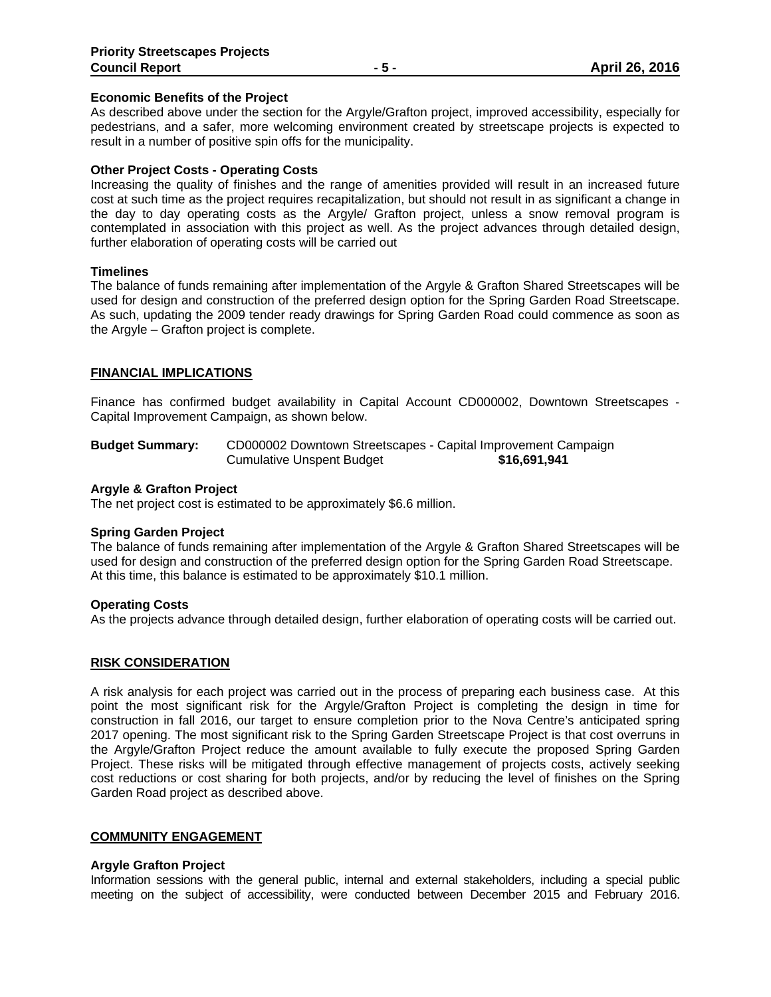#### **Economic Benefits of the Project**

As described above under the section for the Argyle/Grafton project, improved accessibility, especially for pedestrians, and a safer, more welcoming environment created by streetscape projects is expected to result in a number of positive spin offs for the municipality.

## **Other Project Costs - Operating Costs**

Increasing the quality of finishes and the range of amenities provided will result in an increased future cost at such time as the project requires recapitalization, but should not result in as significant a change in the day to day operating costs as the Argyle/ Grafton project, unless a snow removal program is contemplated in association with this project as well. As the project advances through detailed design, further elaboration of operating costs will be carried out

#### **Timelines**

The balance of funds remaining after implementation of the Argyle & Grafton Shared Streetscapes will be used for design and construction of the preferred design option for the Spring Garden Road Streetscape. As such, updating the 2009 tender ready drawings for Spring Garden Road could commence as soon as the Argyle – Grafton project is complete.

# **FINANCIAL IMPLICATIONS**

Finance has confirmed budget availability in Capital Account CD000002, Downtown Streetscapes ‐ Capital Improvement Campaign, as shown below.

**Budget Summary:** CD000002 Downtown Streetscapes - Capital Improvement Campaign Cumulative Unspent Budget **\$16,691,941** 

#### **Argyle & Grafton Project**

The net project cost is estimated to be approximately \$6.6 million.

#### **Spring Garden Project**

The balance of funds remaining after implementation of the Argyle & Grafton Shared Streetscapes will be used for design and construction of the preferred design option for the Spring Garden Road Streetscape. At this time, this balance is estimated to be approximately \$10.1 million.

#### **Operating Costs**

As the projects advance through detailed design, further elaboration of operating costs will be carried out.

#### **RISK CONSIDERATION**

A risk analysis for each project was carried out in the process of preparing each business case. At this point the most significant risk for the Argyle/Grafton Project is completing the design in time for construction in fall 2016, our target to ensure completion prior to the Nova Centre's anticipated spring 2017 opening. The most significant risk to the Spring Garden Streetscape Project is that cost overruns in the Argyle/Grafton Project reduce the amount available to fully execute the proposed Spring Garden Project. These risks will be mitigated through effective management of projects costs, actively seeking cost reductions or cost sharing for both projects, and/or by reducing the level of finishes on the Spring Garden Road project as described above.

## **COMMUNITY ENGAGEMENT**

#### **Argyle Grafton Project**

Information sessions with the general public, internal and external stakeholders, including a special public meeting on the subject of accessibility, were conducted between December 2015 and February 2016.